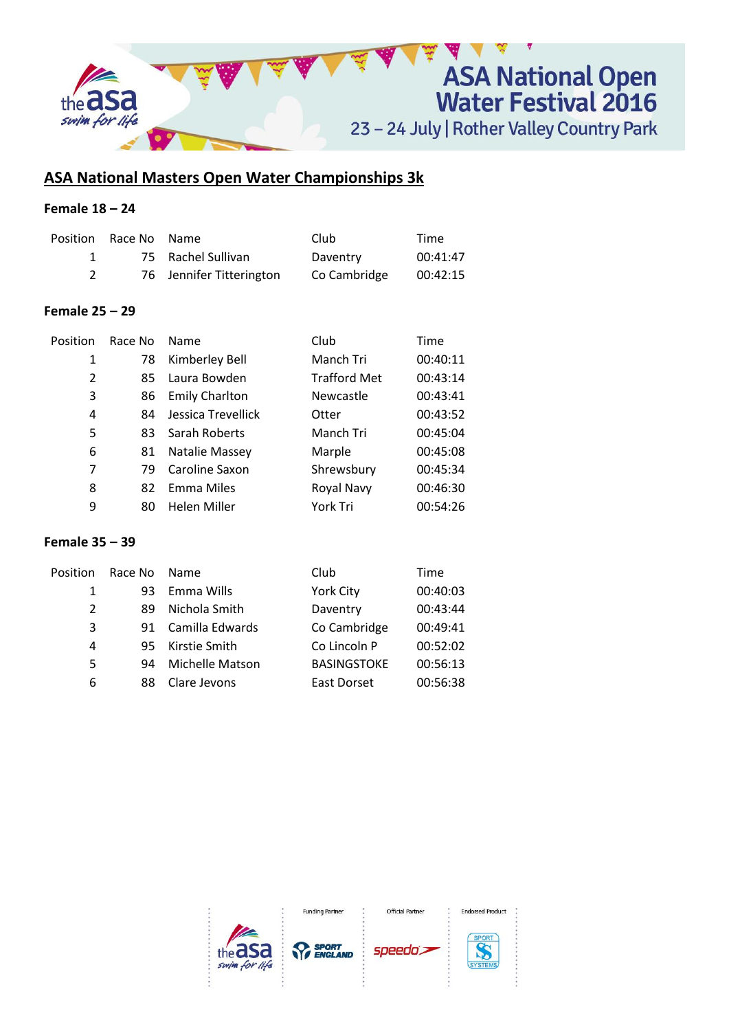

# **ASA National Masters Open Water Championships 3k**

## **Female 18 – 24**

| Position Race No Name |                          | Club         | Time     |
|-----------------------|--------------------------|--------------|----------|
|                       | 75 Rachel Sullivan       | Daventry     | 00:41:47 |
|                       | 76 Jennifer Titterington | Co Cambridge | 00:42:15 |

### **Female 25 – 29**

| Position       | Race No | Name                  | Club                | Time     |
|----------------|---------|-----------------------|---------------------|----------|
| 1              | 78      | Kimberley Bell        | Manch Tri           | 00:40:11 |
| $\overline{2}$ | 85      | Laura Bowden          | <b>Trafford Met</b> | 00:43:14 |
| 3              | 86      | <b>Emily Charlton</b> | Newcastle           | 00:43:41 |
| 4              | 84      | Jessica Trevellick    | Otter               | 00:43:52 |
| 5              | 83      | Sarah Roberts         | Manch Tri           | 00:45:04 |
| 6              | 81      | Natalie Massey        | Marple              | 00:45:08 |
| 7              | 79      | Caroline Saxon        | Shrewsbury          | 00:45:34 |
| 8              | 82      | Emma Miles            | Royal Navy          | 00:46:30 |
| 9              | 80      | <b>Helen Miller</b>   | York Tri            | 00:54:26 |

### **Female 35 – 39**

| Position       | Race No | Name.           | Club               | Time     |
|----------------|---------|-----------------|--------------------|----------|
| 1              | 93      | Emma Wills      | York City          | 00:40:03 |
| $\mathfrak{p}$ | 89      | Nichola Smith   | Daventry           | 00:43:44 |
| 3              | 91      | Camilla Edwards | Co Cambridge       | 00:49:41 |
| 4              | 95      | Kirstie Smith   | Co Lincoln P       | 00:52:02 |
| 5              | 94      | Michelle Matson | <b>BASINGSTOKE</b> | 00:56:13 |
| 6              | 88      | Clare Jevons    | East Dorset        | 00:56:38 |

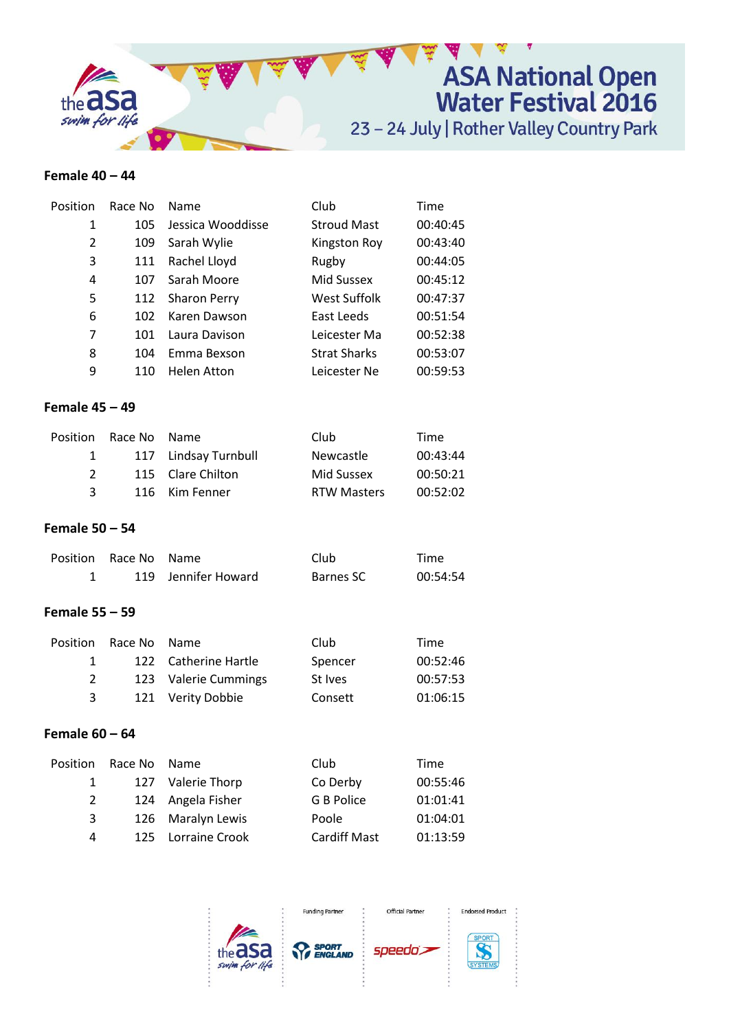

### **Female 40 – 44**

| Position | Race No | <b>Name</b>         | Club                | Time     |
|----------|---------|---------------------|---------------------|----------|
| 1        | 105     | Jessica Wooddisse   | <b>Stroud Mast</b>  | 00:40:45 |
| 2        | 109     | Sarah Wylie         | <b>Kingston Roy</b> | 00:43:40 |
| 3        | 111     | Rachel Lloyd        | Rugby               | 00:44:05 |
| 4        | 107     | Sarah Moore         | Mid Sussex          | 00:45:12 |
| 5        | 112     | <b>Sharon Perry</b> | West Suffolk        | 00:47:37 |
| 6        | 102     | Karen Dawson        | East Leeds          | 00:51:54 |
| 7        | 101     | Laura Davison       | Leicester Ma        | 00:52:38 |
| 8        | 104     | Emma Bexson         | <b>Strat Sharks</b> | 00:53:07 |
| 9        | 110     | Helen Atton         | Leicester Ne        | 00:59:53 |

### **Female 45 – 49**

|               | Position Race No Name |                      | Club               | Time     |
|---------------|-----------------------|----------------------|--------------------|----------|
| $\mathbf{1}$  |                       | 117 Lindsay Turnbull | <b>Newcastle</b>   | 00:43:44 |
| $\mathcal{P}$ |                       | 115 Clare Chilton    | Mid Sussex         | 00:50:21 |
| २             |                       | 116 Kim Fenner       | <b>RTW Masters</b> | 00:52:02 |

### **Female 50 – 54**

| Position Race No Name |                     | Club      | Time     |
|-----------------------|---------------------|-----------|----------|
|                       | 119 Jennifer Howard | Barnes SC | 00:54:54 |

### **Female 55 – 59**

|              | Position Race No Name |                      | Club    | Time     |
|--------------|-----------------------|----------------------|---------|----------|
| $\mathbf{1}$ |                       | 122 Catherine Hartle | Spencer | 00:52:46 |
| 2            |                       | 123 Valerie Cummings | St Ives | 00:57:53 |
| 3            |                       | 121 Verity Dobbie    | Consett | 01:06:15 |

### **Female 60 – 64**

| Position     | Race No Name |                    | Club                | Time     |
|--------------|--------------|--------------------|---------------------|----------|
| $\mathbf{1}$ |              | 127 Valerie Thorp  | Co Derby            | 00:55:46 |
| 2            |              | 124 Angela Fisher  | G B Police          | 01:01:41 |
| 3            |              | 126 Maralyn Lewis  | Poole               | 01:04:01 |
| 4            |              | 125 Lorraine Crook | <b>Cardiff Mast</b> | 01:13:59 |

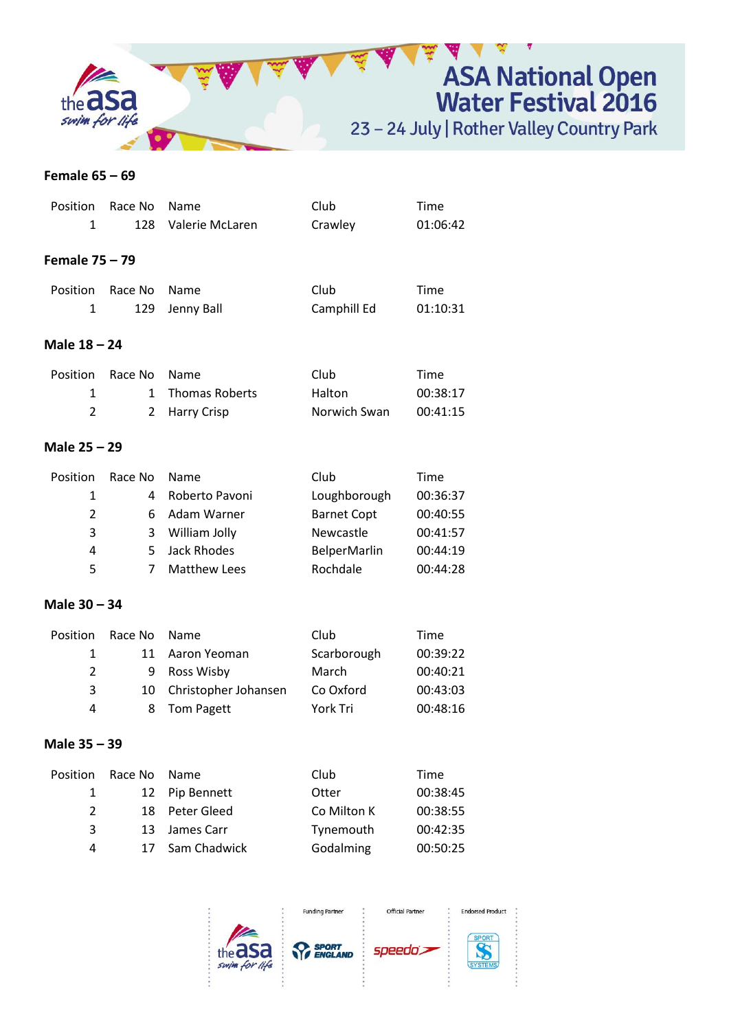

#### **Female 65 – 69**

| Position       | Race No | Name                  | Club                | Time     |
|----------------|---------|-----------------------|---------------------|----------|
| 1              | 128     | Valerie McLaren       | Crawley             | 01:06:42 |
| Female 75 - 79 |         |                       |                     |          |
| Position       | Race No | Name                  | Club                | Time     |
| 1              | 129     | Jenny Ball            | Camphill Ed         | 01:10:31 |
| Male 18 - 24   |         |                       |                     |          |
| Position       | Race No | Name                  | Club                | Time     |
| 1              | 1       | <b>Thomas Roberts</b> | Halton              | 00:38:17 |
| $\overline{2}$ | 2       | <b>Harry Crisp</b>    | Norwich Swan        | 00:41:15 |
| Male 25 - 29   |         |                       |                     |          |
| Position       | Race No | Name                  | Club                | Time     |
| 1              | 4       | Roberto Pavoni        | Loughborough        | 00:36:37 |
| $\overline{2}$ | 6       | Adam Warner           | <b>Barnet Copt</b>  | 00:40:55 |
| 3              | 3       | William Jolly         | Newcastle           | 00:41:57 |
| 4              | 5       | Jack Rhodes           | <b>BelperMarlin</b> | 00:44:19 |
| 5              | 7       | <b>Matthew Lees</b>   | Rochdale            | 00:44:28 |

## **Male 30 – 34**

| Position      | Race No | <b>Name</b>             | Club        | Time     |
|---------------|---------|-------------------------|-------------|----------|
| $\mathbf{1}$  |         | 11 Aaron Yeoman         | Scarborough | 00:39:22 |
| $\mathcal{P}$ |         | 9 Ross Wisby            | March       | 00:40:21 |
| 3             |         | 10 Christopher Johansen | Co Oxford   | 00:43:03 |
| 4             |         | 8 Tom Pagett            | York Tri    | 00:48:16 |

## **Male 35 – 39**

| Position      | Race No | <b>Name</b>     | Club        | Time     |
|---------------|---------|-----------------|-------------|----------|
| 1             |         | 12 Pip Bennett  | Otter       | 00:38:45 |
| $\mathcal{L}$ |         | 18 Peter Gleed  | Co Milton K | 00:38:55 |
| 3             |         | 13 James Carr   | Tynemouth   | 00:42:35 |
| 4             |         | 17 Sam Chadwick | Godalming   | 00:50:25 |

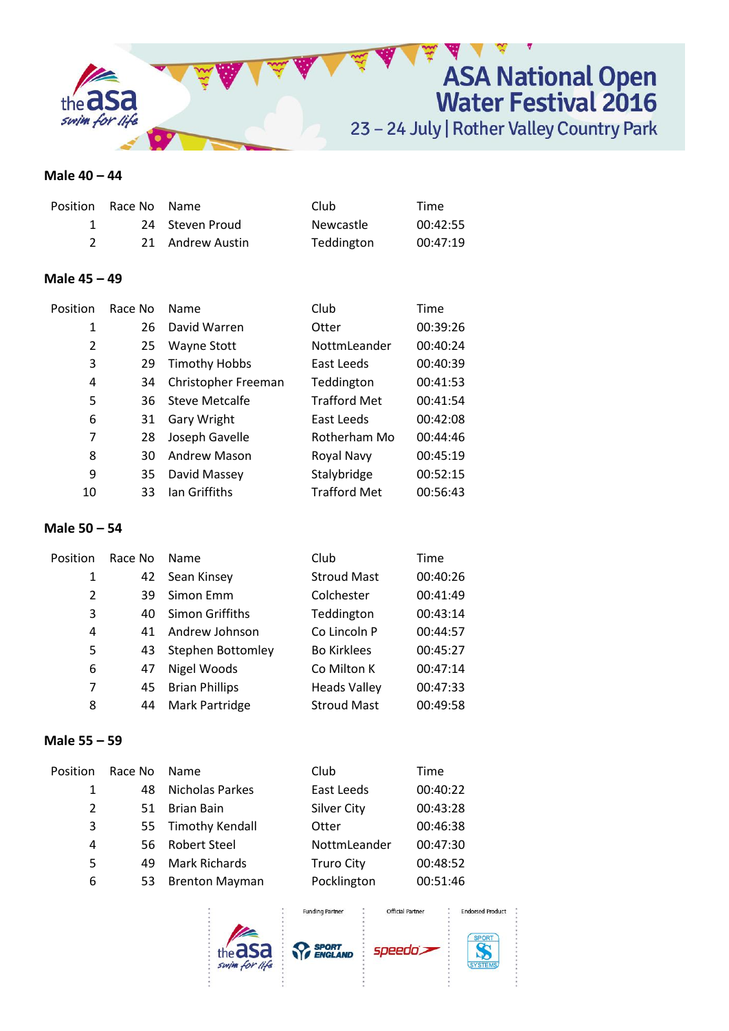

### **Male 40 – 44**

| Position Race No Name |                  | Club       | Time     |
|-----------------------|------------------|------------|----------|
|                       | 24 Steven Proud  | Newcastle  | 00:42:55 |
|                       | 21 Andrew Austin | Teddington | 00:47:19 |

### **Male 45 – 49**

| Position       | Race No | Name                 | Club                | Time     |
|----------------|---------|----------------------|---------------------|----------|
| 1              | 26      | David Warren         | Otter               | 00:39:26 |
| $\overline{2}$ | 25      | Wayne Stott          | NottmLeander        | 00:40:24 |
| 3              | 29      | <b>Timothy Hobbs</b> | East Leeds          | 00:40:39 |
| 4              | 34      | Christopher Freeman  | Teddington          | 00:41:53 |
| 5              | 36      | Steve Metcalfe       | <b>Trafford Met</b> | 00:41:54 |
| 6              | 31      | Gary Wright          | East Leeds          | 00:42:08 |
| 7              | 28      | Joseph Gavelle       | Rotherham Mo        | 00:44:46 |
| 8              | 30      | <b>Andrew Mason</b>  | Royal Navy          | 00:45:19 |
| 9              | 35      | David Massey         | Stalybridge         | 00:52:15 |
| 10             | 33      | lan Griffiths        | <b>Trafford Met</b> | 00:56:43 |

## **Male 50 – 54**

| Position       | Race No | <b>Name</b>              | Club                | Time     |
|----------------|---------|--------------------------|---------------------|----------|
| 1              | 42      | Sean Kinsey              | <b>Stroud Mast</b>  | 00:40:26 |
| $\overline{2}$ | 39      | Simon Emm                | Colchester          | 00:41:49 |
| 3              | 40      | Simon Griffiths          | Teddington          | 00:43:14 |
| 4              | 41      | Andrew Johnson           | Co Lincoln P        | 00:44:57 |
| 5              | 43      | <b>Stephen Bottomley</b> | <b>Bo Kirklees</b>  | 00:45:27 |
| 6              | 47      | Nigel Woods              | Co Milton K         | 00:47:14 |
| 7              | 45      | <b>Brian Phillips</b>    | <b>Heads Valley</b> | 00:47:33 |
| 8              | 44      | Mark Partridge           | <b>Stroud Mast</b>  | 00:49:58 |

### **Male 55 – 59**

| Position | Race No | Name                  | Club               | Time     |  |
|----------|---------|-----------------------|--------------------|----------|--|
| 1        | 48      | Nicholas Parkes       | East Leeds         | 00:40:22 |  |
| 2        | 51      | <b>Brian Bain</b>     | <b>Silver City</b> | 00:43:28 |  |
| 3        |         | 55 Timothy Kendall    | Otter              | 00:46:38 |  |
| 4        |         | 56 Robert Steel       | NottmLeander       | 00:47:30 |  |
| 5        | 49      | <b>Mark Richards</b>  | <b>Truro City</b>  | 00:48:52 |  |
| 6        | 53      | <b>Brenton Mayman</b> | Pocklington        | 00:51:46 |  |
|          |         |                       |                    |          |  |





**Funding Partner** 

speedo's

Official Partner



**Endorsed Product**